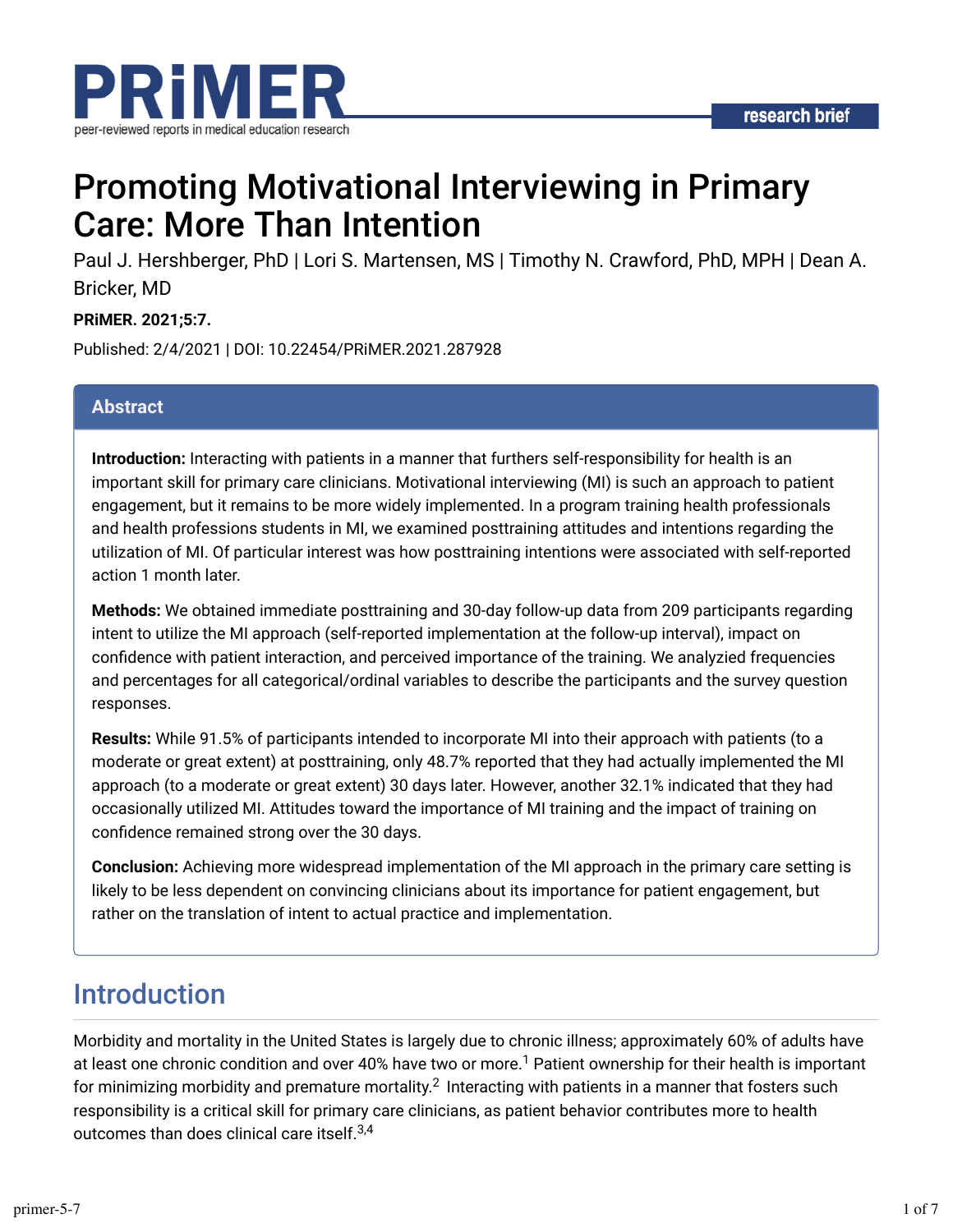

# Promoting Motivational Interviewing in Primary Care: More Than Intention

Paul J. Hershberger, PhD | Lori S. Martensen, MS | Timothy N. Crawford, PhD, MPH | Dean A. Bricker, MD

#### **PRiMER. 2021;5:7.**

Published: 2/4/2021 | DOI: 10.22454/PRiMER.2021.287928

#### **Abstract**

**Introduction:** Interacting with patients in a manner that furthers self-responsibility for health is an important skill for primary care clinicians. Motivational interviewing (MI) is such an approach to patient engagement, but it remains to be more widely implemented. In a program training health professionals and health professions students in MI, we examined posttraining attitudes and intentions regarding the utilization of MI. Of particular interest was how posttraining intentions were associated with self-reported action 1 month later.

**Methods:** We obtained immediate posttraining and 30-day follow-up data from 209 participants regarding intent to utilize the MI approach (self-reported implementation at the follow-up interval), impact on confidence with patient interaction, and perceived importance of the training. We analyzied frequencies and percentages for all categorical/ordinal variables to describe the participants and the survey question responses.

**Results:** While 91.5% of participants intended to incorporate MI into their approach with patients (to a moderate or great extent) at posttraining, only 48.7% reported that they had actually implemented the MI approach (to a moderate or great extent) 30 days later. However, another 32.1% indicated that they had occasionally utilized MI. Attitudes toward the importance of MI training and the impact of training on confidence remained strong over the 30 days.

**Conclusion:** Achieving more widespread implementation of the MI approach in the primary care setting is likely to be less dependent on convincing clinicians about its importance for patient engagement, but rather on the translation of intent to actual practice and implementation.

## Introduction

Morbidity and mortality in the United States is largely due to chronic illness; approximately 60% of adults have at least one chronic condition and over 40% have two or more.<sup>1</sup> Patient ownership for their health is important for minimizing morbidity and premature mortality. $^2\,$  Interacting with patients in a manner that fosters such responsibility is a critical skill for primary care clinicians, as patient behavior contributes more to health outcomes than does clinical care itself. $^{3,4}$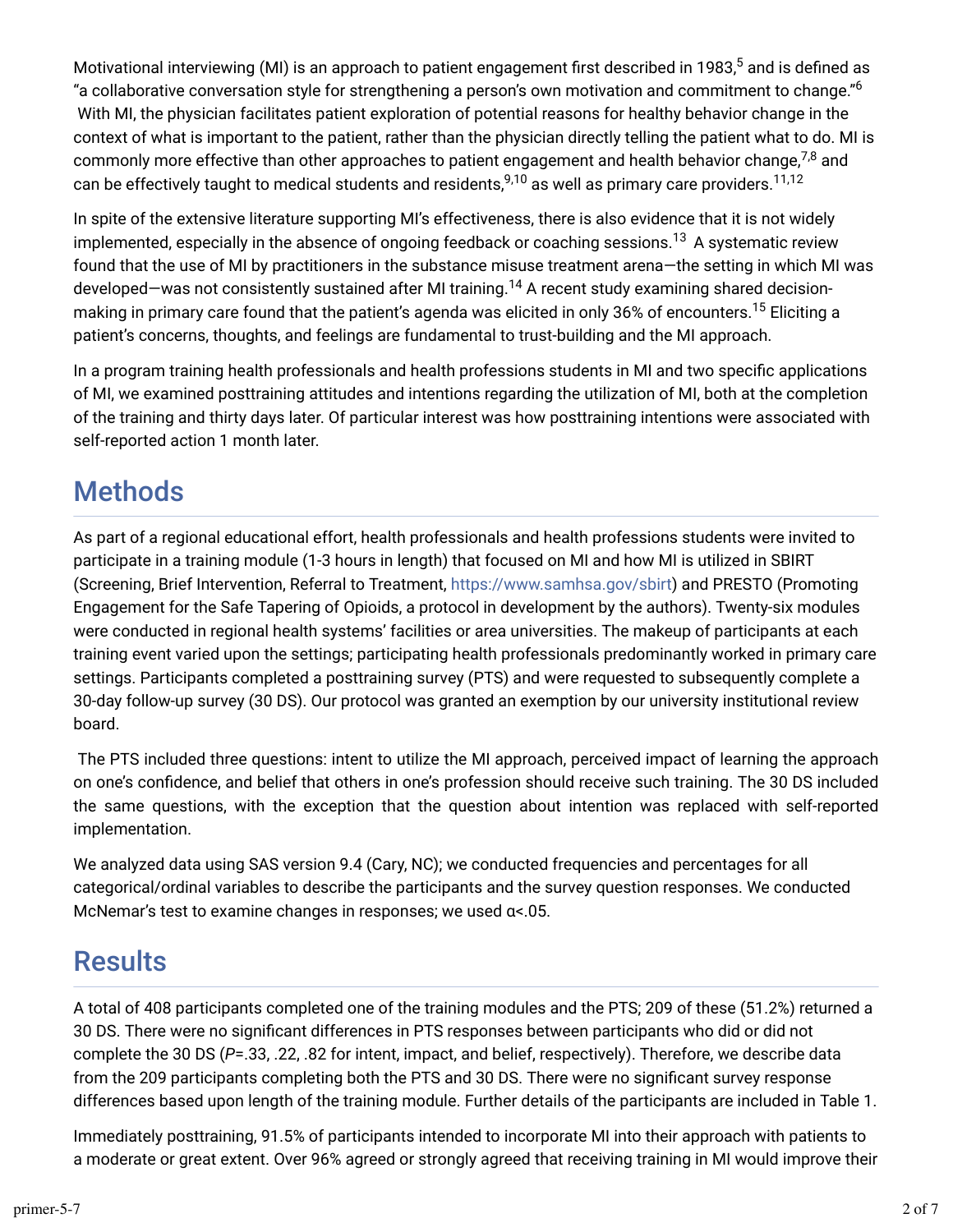Motivational interviewing (MI) is an approach to patient engagement first described in 1983,<sup>5</sup> and is defined as "a collaborative conversation style for strengthening a person's own motivation and commitment to change." $^6$  With MI, the physician facilitates patient exploration of potential reasons for healthy behavior change in the context of what is important to the patient, rather than the physician directly telling the patient what to do. MI is commonly more effective than other approaches to patient engagement and health behavior change, $^{7,8}$  and can be effectively taught to medical students and residents, $^{9,10}$  as well as primary care providers. $^{11,12}$ 

In spite of the extensive literature supporting MI's effectiveness, there is also evidence that it is not widely implemented, especially in the absence of ongoing feedback or coaching sessions. $^{13}$  A systematic review found that the use of MI by practitioners in the substance misuse treatment arena—the setting in which MI was developed—was not consistently sustained after MI training.<sup>14</sup> A recent study examining shared decisionmaking in primary care found that the patient's agenda was elicited in only 36% of encounters.<sup>15</sup> Eliciting a patient's concerns, thoughts, and feelings are fundamental to trust-building and the MI approach.

In a program training health professionals and health professions students in MI and two specific applications of MI, we examined posttraining attitudes and intentions regarding the utilization of MI, both at the completion of the training and thirty days later. Of particular interest was how posttraining intentions were associated with self-reported action 1 month later.

## **Methods**

As part of a regional educational effort, health professionals and health professions students were invited to participate in a training module (1-3 hours in length) that focused on MI and how MI is utilized in SBIRT (Screening, Brief Intervention, Referral to Treatment, https://www.samhsa.gov/sbirt) and PRESTO (Promoting Engagement for the Safe Tapering of Opioids, a protocol in development by the authors). Twenty-six modules were conducted in regional health systems' facilities or area universities. The makeup of participants at each training event varied upon the settings; participating health professionals predominantly worked in primary care settings. Participants completed a posttraining survey (PTS) and were requested to subsequently complete a 30-day follow-up survey (30 DS). Our protocol was granted an exemption by our university institutional review board.

 The PTS included three questions: intent to utilize the MI approach, perceived impact of learning the approach on one's confidence, and belief that others in one's profession should receive such training. The 30 DS included the same questions, with the exception that the question about intention was replaced with self-reported implementation.

We analyzed data using SAS version 9.4 (Cary, NC); we conducted frequencies and percentages for all categorical/ordinal variables to describe the participants and the survey question responses. We conducted McNemar's test to examine changes in responses; we used α<.05.

## **Results**

A total of 408 participants completed one of the training modules and the PTS; 209 of these (51.2%) returned a 30 DS. There were no significant differences in PTS responses between participants who did or did not complete the 30 DS (*P*=.33, .22, .82 for intent, impact, and belief, respectively). Therefore, we describe data from the 209 participants completing both the PTS and 30 DS. There were no significant survey response differences based upon length of the training module. Further details of the participants are included in Table 1.

Immediately posttraining, 91.5% of participants intended to incorporate MI into their approach with patients to a moderate or great extent. Over 96% agreed or strongly agreed that receiving training in MI would improve their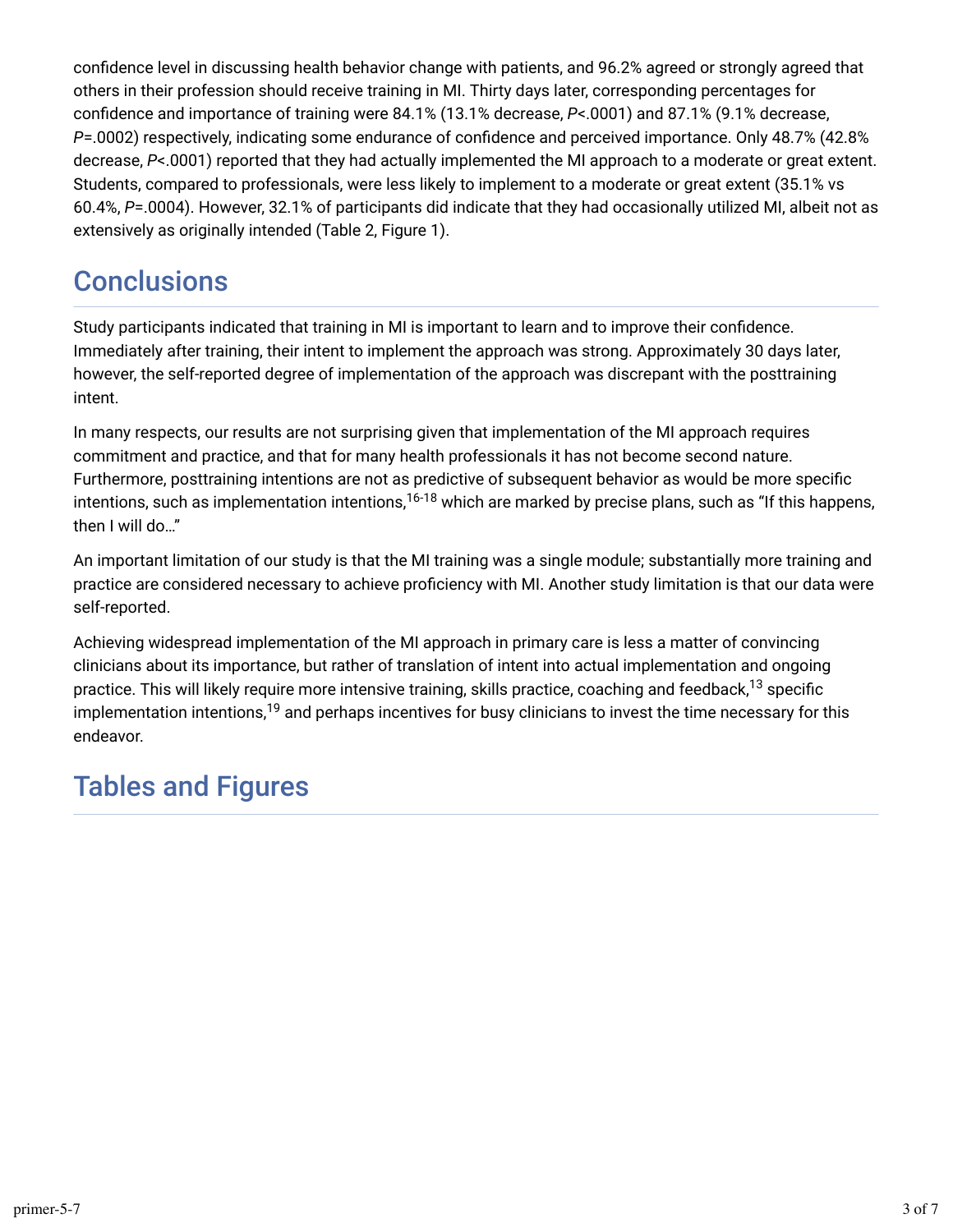confidence level in discussing health behavior change with patients, and 96.2% agreed or strongly agreed that others in their profession should receive training in MI. Thirty days later, corresponding percentages for confidence and importance of training were 84.1% (13.1% decrease, *P*<.0001) and 87.1% (9.1% decrease, *P*=.0002) respectively, indicating some endurance of confidence and perceived importance. Only 48.7% (42.8% decrease, *P*<.0001) reported that they had actually implemented the MI approach to a moderate or great extent. Students, compared to professionals, were less likely to implement to a moderate or great extent (35.1% vs 60.4%, *P*=.0004). However, 32.1% of participants did indicate that they had occasionally utilized MI, albeit not as extensively as originally intended (Table 2, Figure 1).

## **Conclusions**

Study participants indicated that training in MI is important to learn and to improve their confidence. Immediately after training, their intent to implement the approach was strong. Approximately 30 days later, however, the self-reported degree of implementation of the approach was discrepant with the posttraining intent.

In many respects, our results are not surprising given that implementation of the MI approach requires commitment and practice, and that for many health professionals it has not become second nature. Furthermore, posttraining intentions are not as predictive of subsequent behavior as would be more specific intentions, such as implementation intentions,<sup>16-18</sup> which are marked by precise plans, such as "If this happens, then I will do…"

An important limitation of our study is that the MI training was a single module; substantially more training and practice are considered necessary to achieve proficiency with MI. Another study limitation is that our data were self-reported.

Achieving widespread implementation of the MI approach in primary care is less a matter of convincing clinicians about its importance, but rather of translation of intent into actual implementation and ongoing practice. This will likely require more intensive training, skills practice, coaching and feedback, $^{13}$  specific implementation intentions, $^{\rm 19}$  and perhaps incentives for busy clinicians to invest the time necessary for this endeavor.

## Tables and Figures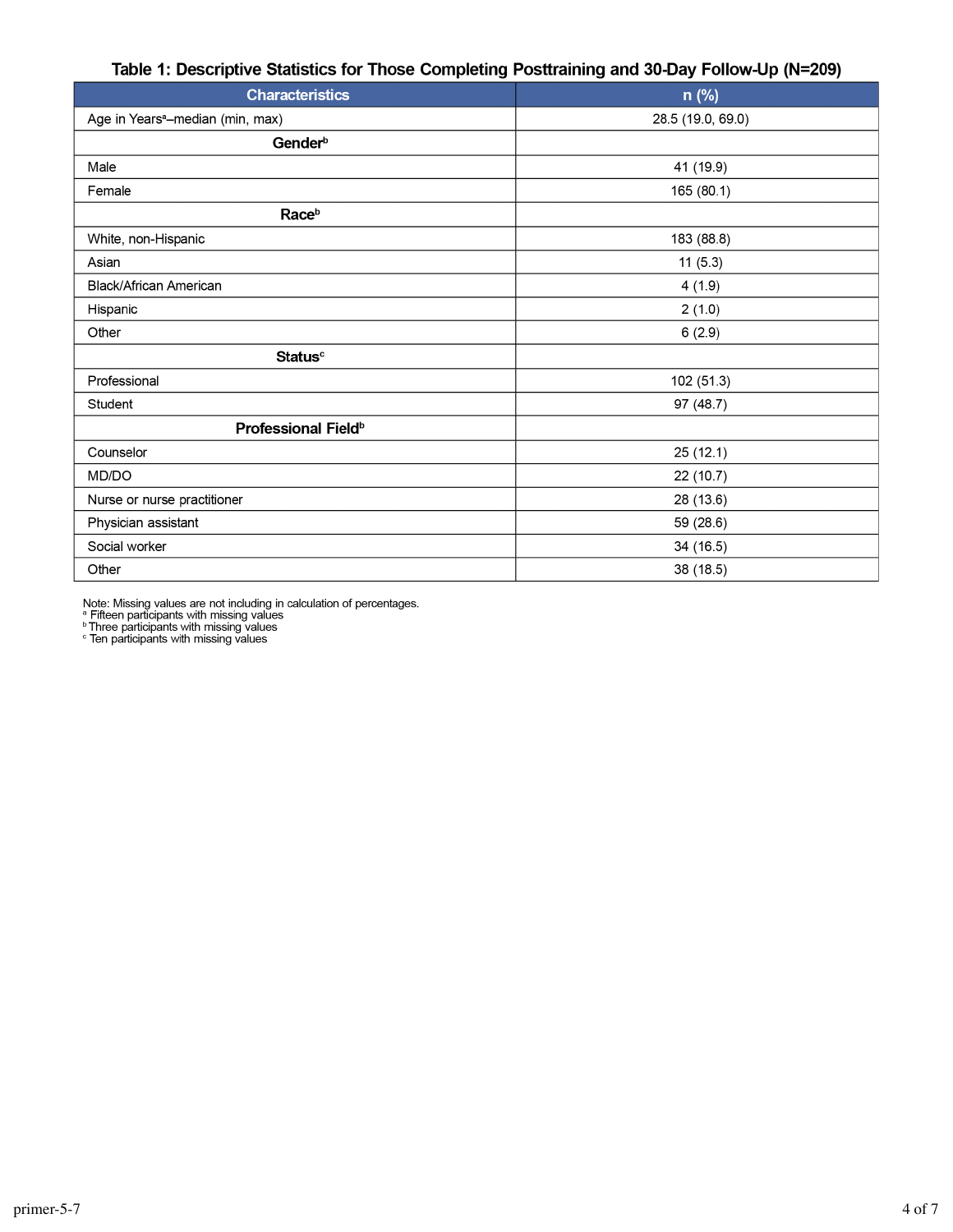#### Table 1: Descriptive Statistics for Those Completing Posttraining and 30-Day Follow-Up (N=209)

| <b>Characteristics</b>                       | n (%)             |
|----------------------------------------------|-------------------|
| Age in Years <sup>a</sup> -median (min, max) | 28.5 (19.0, 69.0) |
| Gender <sup>b</sup>                          |                   |
| Male                                         | 41 (19.9)         |
| Female                                       | 165 (80.1)        |
| Race <sup>b</sup>                            |                   |
| White, non-Hispanic                          | 183 (88.8)        |
| Asian                                        | 11(5.3)           |
| Black/African American                       | 4(1.9)            |
| Hispanic                                     | 2(1.0)            |
| Other                                        | 6(2.9)            |
| <b>Status</b> <sup>c</sup>                   |                   |
| Professional                                 | 102 (51.3)        |
| Student                                      | 97 (48.7)         |
| Professional Field <sup>b</sup>              |                   |
| Counselor                                    | 25(12.1)          |
| MD/DO                                        | 22 (10.7)         |
| Nurse or nurse practitioner                  | 28 (13.6)         |
| Physician assistant                          | 59 (28.6)         |
| Social worker                                | 34 (16.5)         |
| Other                                        | 38 (18.5)         |

Note: Missing values are not including in calculation of percentages.<br>  $^{\text{a}}$  Fifteen participants with missing values<br>  $^{\text{b}}$  Three participants with missing values<br>  $^{\text{b}}$  Three participants with missing values<br>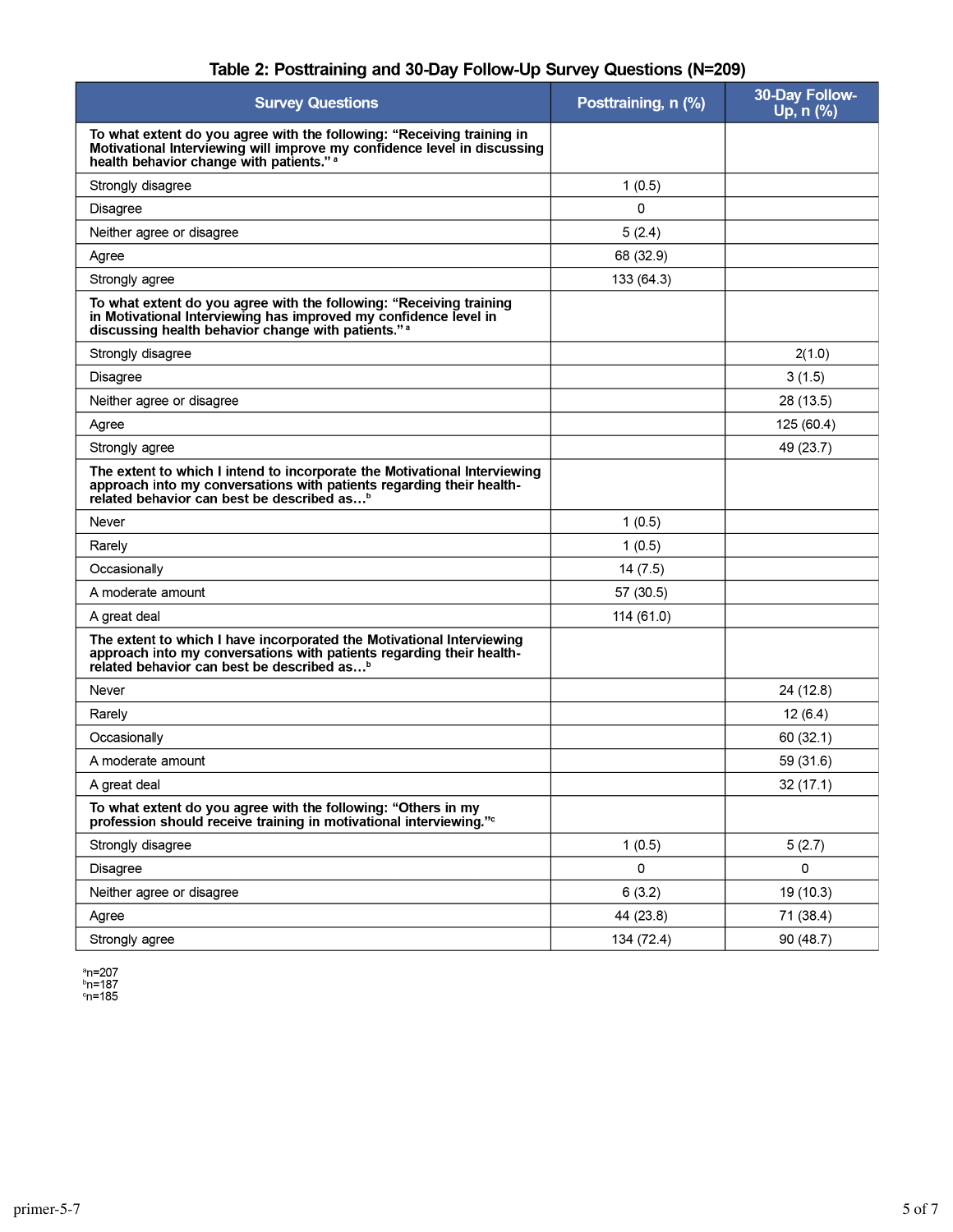| <b>Survey Questions</b>                                                                                                                                                                                     | Posttraining, n (%) | 30-Day Follow-<br>Up, n (%) |
|-------------------------------------------------------------------------------------------------------------------------------------------------------------------------------------------------------------|---------------------|-----------------------------|
| To what extent do you agree with the following: "Receiving training in<br>Motivational Interviewing will improve my confidence level in discussing<br>health behavior change with patients." <sup>a</sup>   |                     |                             |
| Strongly disagree                                                                                                                                                                                           | 1(0.5)              |                             |
| <b>Disagree</b>                                                                                                                                                                                             | 0                   |                             |
| Neither agree or disagree                                                                                                                                                                                   | 5(2.4)              |                             |
| Agree                                                                                                                                                                                                       | 68 (32.9)           |                             |
| Strongly agree                                                                                                                                                                                              | 133 (64.3)          |                             |
| To what extent do you agree with the following: "Receiving training<br>in Motivational Interviewing has improved my confidence level in<br>discussing health behavior change with patients." <sup>a</sup>   |                     |                             |
| Strongly disagree                                                                                                                                                                                           |                     | 2(1.0)                      |
| <b>Disagree</b>                                                                                                                                                                                             |                     | 3(1.5)                      |
| Neither agree or disagree                                                                                                                                                                                   |                     | 28 (13.5)                   |
| Agree                                                                                                                                                                                                       |                     | 125 (60.4)                  |
| Strongly agree                                                                                                                                                                                              |                     | 49 (23.7)                   |
| The extent to which I intend to incorporate the Motivational Interviewing<br>approach into my conversations with patients regarding their health-<br>related behavior can best be described as <sup>b</sup> |                     |                             |
| Never                                                                                                                                                                                                       | 1(0.5)              |                             |
| Rarely                                                                                                                                                                                                      | 1(0.5)              |                             |
| Occasionally                                                                                                                                                                                                | 14(7.5)             |                             |
| A moderate amount                                                                                                                                                                                           | 57 (30.5)           |                             |
| A great deal                                                                                                                                                                                                | 114 (61.0)          |                             |
| The extent to which I have incorporated the Motivational Interviewing<br>approach into my conversations with patients regarding their health-<br>related behavior can best be described as <sup>b</sup>     |                     |                             |
| Never                                                                                                                                                                                                       |                     | 24 (12.8)                   |
| Rarely                                                                                                                                                                                                      |                     | 12(6.4)                     |
| Occasionally                                                                                                                                                                                                |                     | 60(32.1)                    |
| A moderate amount                                                                                                                                                                                           |                     | 59 (31.6)                   |
| A great deal                                                                                                                                                                                                |                     | 32 (17.1)                   |
| To what extent do you agree with the following: "Others in my<br>profession should receive training in motivational interviewing." <sup>c</sup>                                                             |                     |                             |
| Strongly disagree                                                                                                                                                                                           | 1(0.5)              | 5(2.7)                      |
| Disagree                                                                                                                                                                                                    | 0                   | 0                           |
| Neither agree or disagree                                                                                                                                                                                   | 6(3.2)              | 19 (10.3)                   |
| Agree                                                                                                                                                                                                       | 44 (23.8)           | 71 (384)                    |
| Strongly agree                                                                                                                                                                                              | 134 (72.4)          | 90 (48.7)                   |

#### Table 2: Posttraining and 30-Day Follow-Up Survey Questions (N=209)

<sup>a</sup>n=207<br><sup>b</sup>n=187<br>°n=185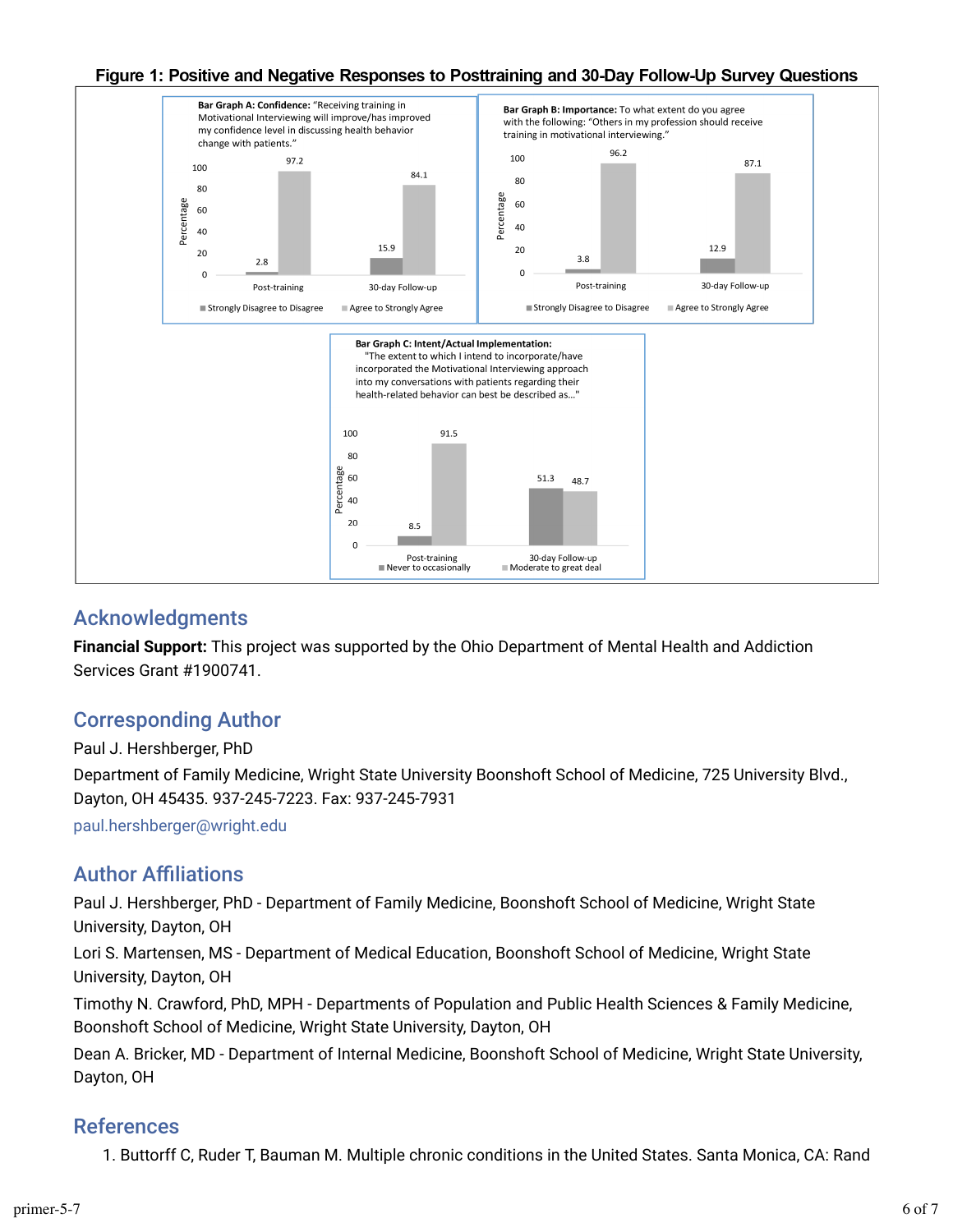

#### Figure 1: Positive and Negative Responses to Posttraining and 30-Day Follow-Up Survey Questions

### Acknowledgments

**Financial Support:** This project was supported by the Ohio Department of Mental Health and Addiction Services Grant #1900741.

### Corresponding Author

Paul J. Hershberger, PhD

Department of Family Medicine, Wright State University Boonshoft School of Medicine, 725 University Blvd., Dayton, OH 45435. 937-245-7223. Fax: 937-245-7931

paul.hershberger@wright.edu

### **Author Affiliations**

Paul J. Hershberger, PhD - Department of Family Medicine, Boonshoft School of Medicine, Wright State University, Dayton, OH

Lori S. Martensen, MS - Department of Medical Education, Boonshoft School of Medicine, Wright State University, Dayton, OH

Timothy N. Crawford, PhD, MPH - Departments of Population and Public Health Sciences & Family Medicine, Boonshoft School of Medicine, Wright State University, Dayton, OH

Dean A. Bricker, MD - Department of Internal Medicine, Boonshoft School of Medicine, Wright State University, Dayton, OH

### References

1. Buttorff C, Ruder T, Bauman M. Multiple chronic conditions in the United States. Santa Monica, CA: Rand